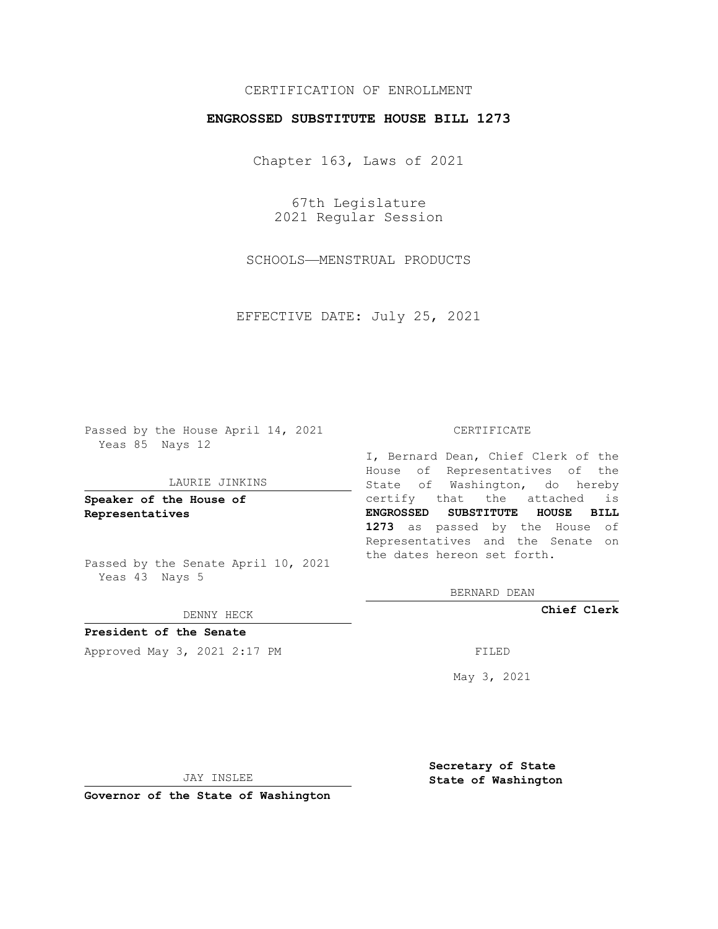## CERTIFICATION OF ENROLLMENT

## **ENGROSSED SUBSTITUTE HOUSE BILL 1273**

Chapter 163, Laws of 2021

67th Legislature 2021 Regular Session

SCHOOLS—MENSTRUAL PRODUCTS

EFFECTIVE DATE: July 25, 2021

Passed by the House April 14, 2021 Yeas 85 Nays 12

#### LAURIE JINKINS

**Speaker of the House of Representatives**

Passed by the Senate April 10, 2021 Yeas 43 Nays 5

#### DENNY HECK

**President of the Senate** Approved May 3, 2021 2:17 PM FILED

#### CERTIFICATE

I, Bernard Dean, Chief Clerk of the House of Representatives of the State of Washington, do hereby certify that the attached is **ENGROSSED SUBSTITUTE HOUSE BILL 1273** as passed by the House of Representatives and the Senate on the dates hereon set forth.

BERNARD DEAN

**Chief Clerk**

May 3, 2021

JAY INSLEE

**Governor of the State of Washington**

**Secretary of State State of Washington**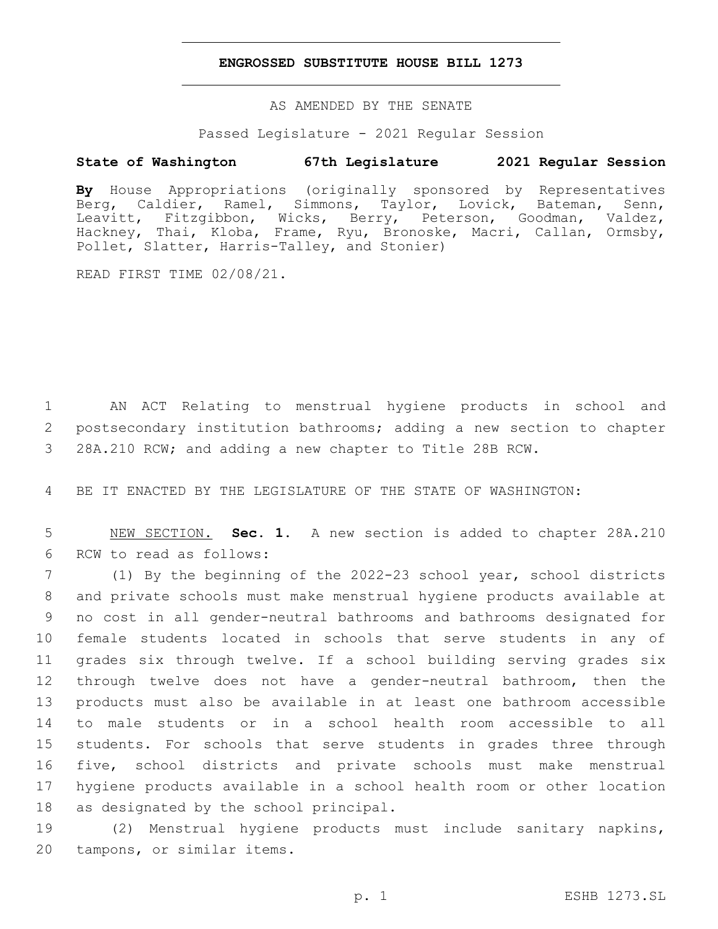### **ENGROSSED SUBSTITUTE HOUSE BILL 1273**

AS AMENDED BY THE SENATE

Passed Legislature - 2021 Regular Session

# **State of Washington 67th Legislature 2021 Regular Session**

**By** House Appropriations (originally sponsored by Representatives Berg, Caldier, Ramel, Simmons, Taylor, Lovick, Bateman, Senn, Leavitt, Fitzgibbon, Wicks, Berry, Peterson, Goodman, Valdez, Hackney, Thai, Kloba, Frame, Ryu, Bronoske, Macri, Callan, Ormsby, Pollet, Slatter, Harris-Talley, and Stonier)

READ FIRST TIME 02/08/21.

1 AN ACT Relating to menstrual hygiene products in school and 2 postsecondary institution bathrooms; adding a new section to chapter 3 28A.210 RCW; and adding a new chapter to Title 28B RCW.

4 BE IT ENACTED BY THE LEGISLATURE OF THE STATE OF WASHINGTON:

5 NEW SECTION. **Sec. 1.** A new section is added to chapter 28A.210 6 RCW to read as follows:

 (1) By the beginning of the 2022-23 school year, school districts and private schools must make menstrual hygiene products available at no cost in all gender-neutral bathrooms and bathrooms designated for female students located in schools that serve students in any of grades six through twelve. If a school building serving grades six through twelve does not have a gender-neutral bathroom, then the products must also be available in at least one bathroom accessible to male students or in a school health room accessible to all students. For schools that serve students in grades three through five, school districts and private schools must make menstrual hygiene products available in a school health room or other location 18 as designated by the school principal.

19 (2) Menstrual hygiene products must include sanitary napkins, 20 tampons, or similar items.